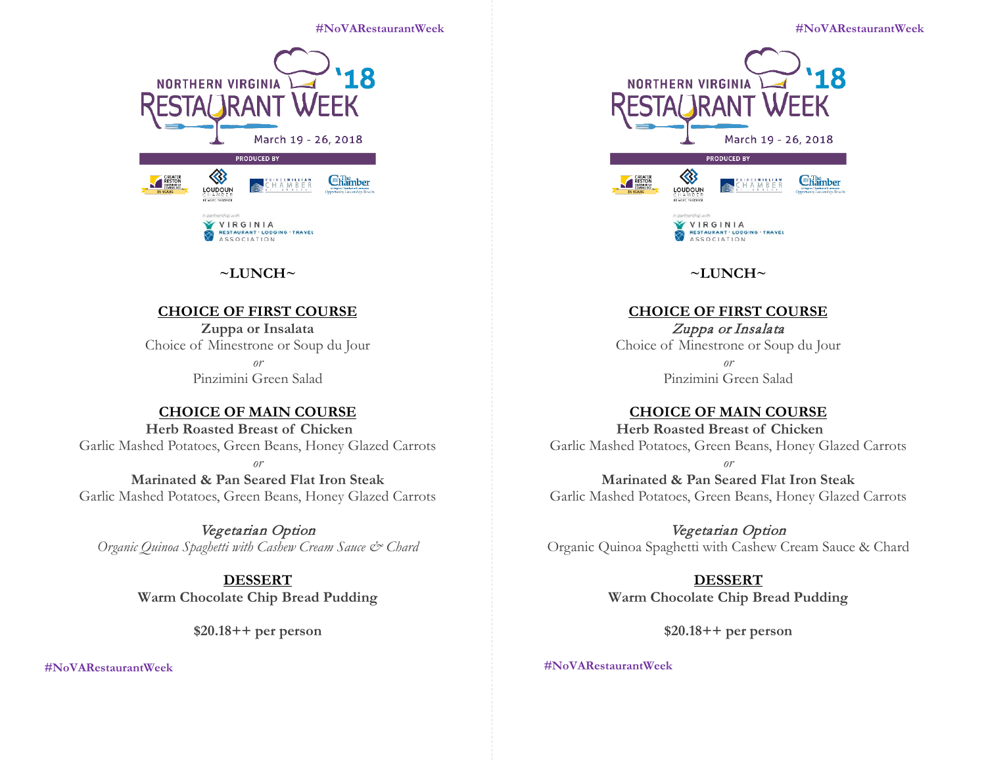#### **#NoVARestaurantWeek #NoVARestaurantWeek**



# **~LUNCH~**

### **CHOICE OF FIRST COURSE**

**Zuppa or Insalata** Choice of Minestrone or Soup du Jour *or* Pinzimini Green Salad

### **CHOICE OF MAIN COURSE**

**Herb Roasted Breast of Chicken**

Garlic Mashed Potatoes, Green Beans, Honey Glazed Carrots

*or*

**Marinated & Pan Seared Flat Iron Steak** Garlic Mashed Potatoes, Green Beans, Honey Glazed Carrots

Vegetarian Option *Organic Quinoa Spaghetti with Cashew Cream Sauce & Chard*

#### **DESSERT**

**Warm Chocolate Chip Bread Pudding**

**\$20.18++ per person**

 **#NoVARestaurantWeek #NoVARestaurantWeek**